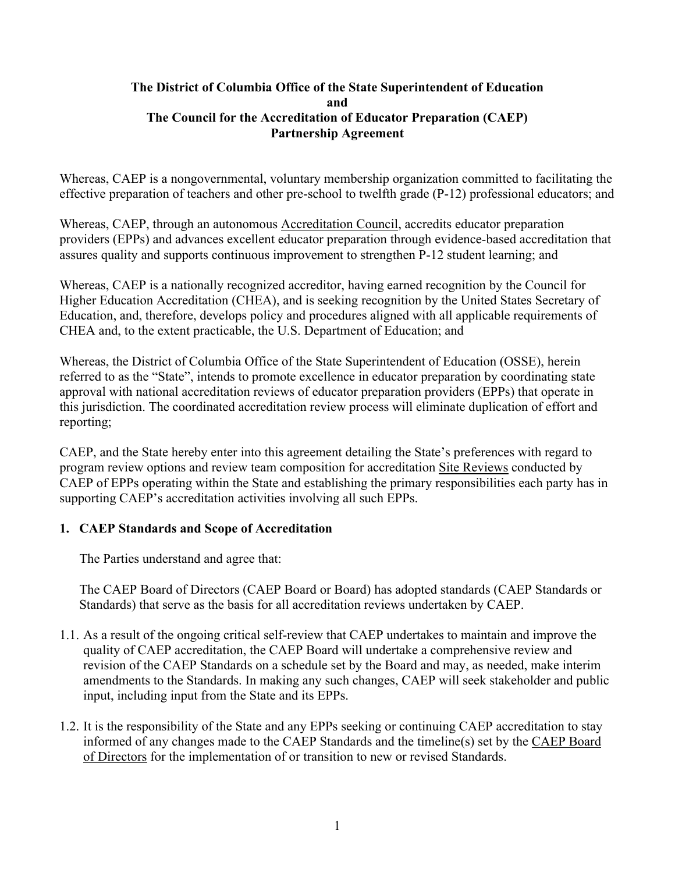### **The District of Columbia Office of the State Superintendent of Education and The Council for the Accreditation of Educator Preparation (CAEP) Partnership Agreement**

Whereas, CAEP is a nongovernmental, voluntary membership organization committed to facilitating the effective preparation of teachers and other pre-school to twelfth grade (P-12) professional educators; and

Whereas, CAEP, through an autonomous [Accreditation Council,](http://caepnet.org/glossary) accredits educator preparation providers (EPPs) and advances excellent educator preparation through evidence-based accreditation that assures quality and supports continuous improvement to strengthen P-12 student learning; and

Whereas, CAEP is a nationally recognized accreditor, having earned recognition by the Council for Higher Education Accreditation (CHEA), and is seeking recognition by the United States Secretary of Education, and, therefore, develops policy and procedures aligned with all applicable requirements of CHEA and, to the extent practicable, the U.S. Department of Education; and

Whereas, the District of Columbia Office of the State Superintendent of Education (OSSE), herein referred to as the "State", intends to promote excellence in educator preparation by coordinating state approval with national accreditation reviews of educator preparation providers (EPPs) that operate in this jurisdiction. The coordinated accreditation review process will eliminate duplication of effort and reporting;

CAEP, and the State hereby enter into this agreement detailing the State's preferences with regard to program review options and review team composition for accreditation [Site Reviews](http://caepnet.org/glossary?letter=S) conducted by CAEP of EPPs operating within the State and establishing the primary responsibilities each party has in supporting CAEP's accreditation activities involving all such EPPs.

## **1. CAEP Standards and Scope of Accreditation**

The Parties understand and agree that:

The CAEP Board of Directors (CAEP Board or Board) has adopted standards (CAEP Standards or Standards) that serve as the basis for all accreditation reviews undertaken by CAEP.

- 1.1. As a result of the ongoing critical self-review that CAEP undertakes to maintain and improve the quality of CAEP accreditation, the CAEP Board will undertake a comprehensive review and revision of the CAEP Standards on a schedule set by the Board and may, as needed, make interim amendments to the Standards. In making any such changes, CAEP will seek stakeholder and public input, including input from the State and its EPPs.
- 1.2. It is the responsibility of the State and any EPPs seeking or continuing CAEP accreditation to stay informed of any changes made to the CAEP Standards and the timeline(s) set by the [CAEP](http://caepnet.org/glossary?letter=B) Board [of Directors](http://caepnet.org/glossary?letter=B) for the implementation of or transition to new or revised Standards.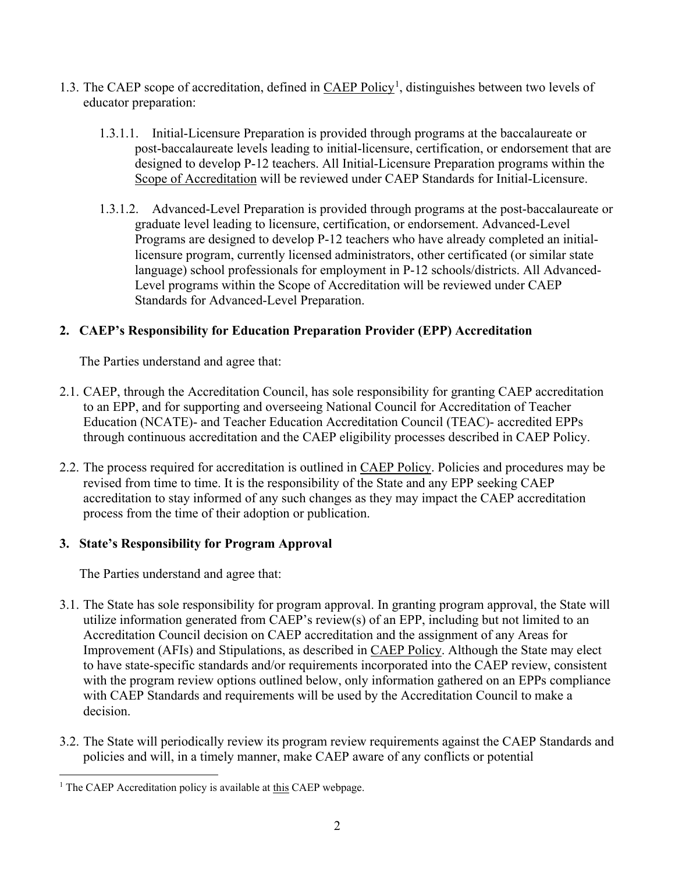- 1.3. The CAEP scope of accreditation, defined in [CAEP Policy](http://caepnet.org/%7E/media/Files/caep/accreditation-resources/accreditation-policy-final.pdf?la=en)<sup>[1](#page-1-0)</sup>, distinguishes between two levels of educator preparation:
	- 1.3.1.1. Initial-Licensure Preparation is provided through programs at the baccalaureate or post-baccalaureate levels leading to initial-licensure, certification, or endorsement that are designed to develop P-12 teachers. All Initial-Licensure Preparation programs within the [Scope of Accreditation](http://caepnet.org/%7E/media/Files/caep/accreditation-resources/accreditation-policy-final.pdf?la=en) will be reviewed under CAEP Standards for Initial-Licensure.
	- 1.3.1.2. Advanced-Level Preparation is provided through programs at the post-baccalaureate or graduate level leading to licensure, certification, or endorsement. Advanced-Level Programs are designed to develop P-12 teachers who have already completed an initiallicensure program, currently licensed administrators, other certificated (or similar state language) school professionals for employment in P-12 schools/districts. All Advanced-Level programs within the Scope of Accreditation will be reviewed under CAEP Standards for Advanced-Level Preparation.

# **2. CAEP's Responsibility for Education Preparation Provider (EPP) Accreditation**

The Parties understand and agree that:

- 2.1. CAEP, through the Accreditation Council, has sole responsibility for granting CAEP accreditation to an EPP, and for supporting and overseeing National Council for Accreditation of Teacher Education (NCATE)- and Teacher Education Accreditation Council (TEAC)- accredited EPPs through continuous accreditation and the CAEP eligibility processes described in CAEP Policy.
- 2.2. The process required for accreditation is outlined in CAEP [Policy.](http://caepnet.org/%7E/media/Files/caep/accreditation-resources/accreditation-policy-final.pdf?la=en) Policies and procedures may be revised from time to time. It is the responsibility of the State and any EPP seeking CAEP accreditation to stay informed of any such changes as they may impact the CAEP accreditation process from the time of their adoption or publication.

# **3. State's Responsibility for Program Approval**

- 3.1. The State has sole responsibility for program approval. In granting program approval, the State will utilize information generated from CAEP's review(s) of an EPP, including but not limited to an Accreditation Council decision on CAEP accreditation and the assignment of any Areas for Improvement (AFIs) and Stipulations, as described in [CAEP Policy.](http://caepnet.org/%7E/media/Files/caep/accreditation-resources/accreditation-policy-final.pdf?la=en) Although the State may elect to have state-specific standards and/or requirements incorporated into the CAEP review, consistent with the program review options outlined below, only information gathered on an EPPs compliance with CAEP Standards and requirements will be used by the Accreditation Council to make a decision.
- 3.2. The State will periodically review its program review requirements against the CAEP Standards and policies and will, in a timely manner, make CAEP aware of any conflicts or potential

<span id="page-1-0"></span><sup>&</sup>lt;sup>1</sup> The CAEP Accreditation policy is available at [this](http://caepnet.org/%7E/media/Files/caep/accreditation-resources/accreditation-policy-final.pdf?la=en) CAEP webpage.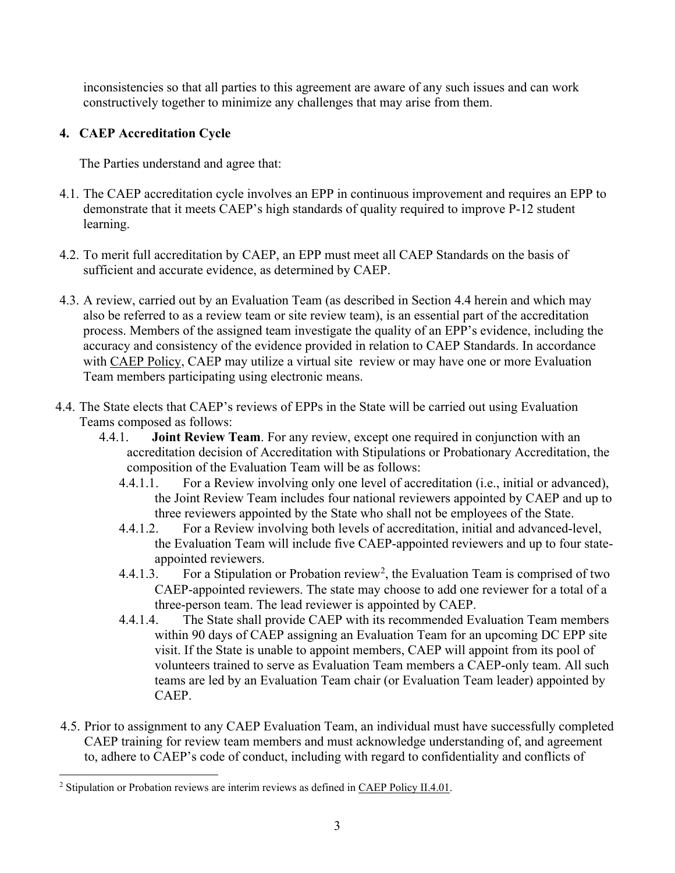inconsistencies so that all parties to this agreement are aware of any such issues and can work constructively together to minimize any challenges that may arise from them.

# **4. CAEP Accreditation Cycle**

- 4.1. The CAEP accreditation cycle involves an EPP in continuous improvement and requires an EPP to demonstrate that it meets CAEP's high standards of quality required to improve P-12 student learning.
- 4.2. To merit full accreditation by CAEP, an EPP must meet all CAEP Standards on the basis of sufficient and accurate evidence, as determined by CAEP.
- 4.3. A review, carried out by an Evaluation Team (as described in Section 4.4 herein and which may also be referred to as a review team or site review team), is an essential part of the accreditation process. Members of the assigned team investigate the quality of an EPP's evidence, including the accuracy and consistency of the evidence provided in relation to CAEP Standards. In accordance with [CAEP Policy,](http://caepnet.org/%7E/media/Files/caep/accreditation-resources/accreditation-policy-final.pdf?la=en) CAEP may utilize a virtual site review or may have one or more Evaluation Team members participating using electronic means.
- 4.4. The State elects that CAEP's reviews of EPPs in the State will be carried out using Evaluation Teams composed as follows:
	- 4.4.1. **Joint Review Team**. For any review, except one required in conjunction with an accreditation decision of Accreditation with Stipulations or Probationary Accreditation, the composition of the Evaluation Team will be as follows:
		- 4.4.1.1. For a Review involving only one level of accreditation (i.e., initial or advanced), the Joint Review Team includes four national reviewers appointed by CAEP and up to three reviewers appointed by the State who shall not be employees of the State.
		- 4.4.1.2. For a Review involving both levels of accreditation, initial and advanced-level, the Evaluation Team will include five CAEP-appointed reviewers and up to four stateappointed reviewers.
		- 4.4.1.3. For a Stipulation or Probation review<sup>[2](#page-2-0)</sup>, the Evaluation Team is comprised of two CAEP-appointed reviewers. The state may choose to add one reviewer for a total of a three-person team. The lead reviewer is appointed by CAEP.
		- 4.4.1.4. The State shall provide CAEP with its recommended Evaluation Team members within 90 days of CAEP assigning an Evaluation Team for an upcoming DC EPP site visit. If the State is unable to appoint members, CAEP will appoint from its pool of volunteers trained to serve as Evaluation Team members a CAEP-only team. All such teams are led by an Evaluation Team chair (or Evaluation Team leader) appointed by CAEP.
- 4.5. Prior to assignment to any CAEP Evaluation Team, an individual must have successfully completed CAEP training for review team members and must acknowledge understanding of, and agreement to, adhere to CAEP's code of conduct, including with regard to confidentiality and conflicts of

<span id="page-2-0"></span><sup>&</sup>lt;sup>2</sup> Stipulation or Probation reviews are interim reviews as defined in CAEP Policy [II.4.01.](http://caepnet.org/%7E/media/Files/caep/accreditation-resources/accreditation-policy-final.pdf?la=en)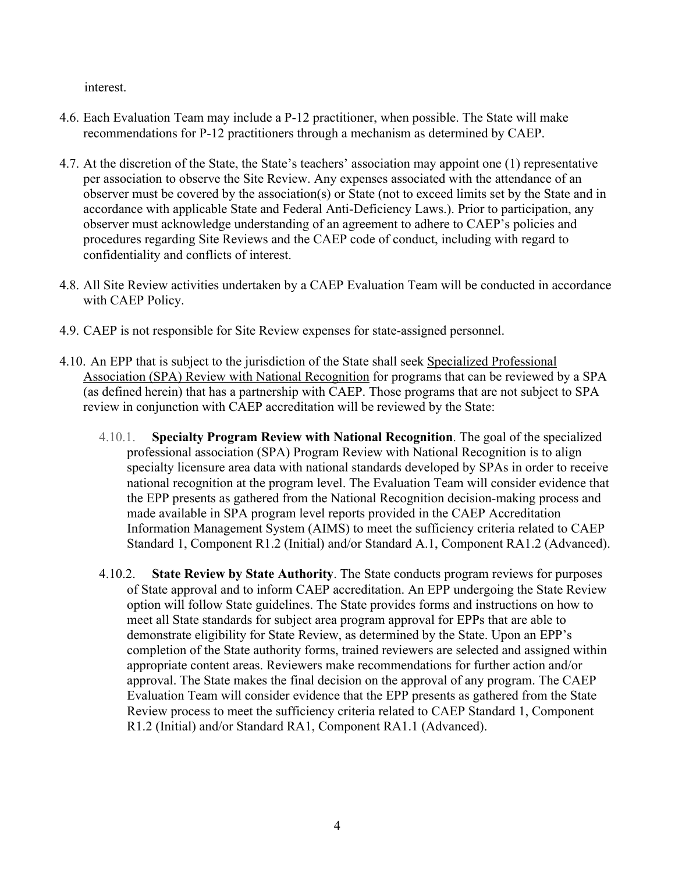interest.

- 4.6. Each Evaluation Team may include a P-12 practitioner, when possible. The State will make recommendations for P-12 practitioners through a mechanism as determined by CAEP.
- 4.7. At the discretion of the State, the State's teachers' association may appoint one (1) representative per association to observe the Site Review. Any expenses associated with the attendance of an observer must be covered by the association(s) or State (not to exceed limits set by the State and in accordance with applicable State and Federal Anti-Deficiency Laws.). Prior to participation, any observer must acknowledge understanding of an agreement to adhere to CAEP's policies and procedures regarding Site Reviews and the CAEP code of conduct, including with regard to confidentiality and conflicts of interest.
- 4.8. All Site Review activities undertaken by a CAEP Evaluation Team will be conducted in accordance with CAEP Policy.
- 4.9. CAEP is not responsible for Site Review expenses for state-assigned personnel.
- 4.10. An EPP that is subject to the jurisdiction of the State shall seek Specialized [Professional](http://caepnet.org/glossary?letter=S)  [Association \(SPA\) Review with National Recognition](http://caepnet.org/glossary?letter=S) for programs that can be reviewed by a SPA (as defined herein) that has a partnership with CAEP. Those programs that are not subject to SPA review in conjunction with CAEP accreditation will be reviewed by the State:
	- 4.10.1. **Specialty Program Review with National Recognition**. The goal of the specialized professional association (SPA) Program Review with National Recognition is to align specialty licensure area data with national standards developed by SPAs in order to receive national recognition at the program level. The Evaluation Team will consider evidence that the EPP presents as gathered from the National Recognition decision-making process and made available in SPA program level reports provided in the CAEP Accreditation Information Management System (AIMS) to meet the sufficiency criteria related to CAEP Standard 1, Component R1.2 (Initial) and/or Standard A.1, Component RA1.2 (Advanced).
	- 4.10.2. **State Review by State Authority**. The State conducts program reviews for purposes of State approval and to inform CAEP accreditation. An EPP undergoing the State Review option will follow State guidelines. The State provides forms and instructions on how to meet all State standards for subject area program approval for EPPs that are able to demonstrate eligibility for State Review, as determined by the State. Upon an EPP's completion of the State authority forms, trained reviewers are selected and assigned within appropriate content areas. Reviewers make recommendations for further action and/or approval. The State makes the final decision on the approval of any program. The CAEP Evaluation Team will consider evidence that the EPP presents as gathered from the State Review process to meet the sufficiency criteria related to CAEP Standard 1, Component R1.2 (Initial) and/or Standard RA1, Component RA1.1 (Advanced).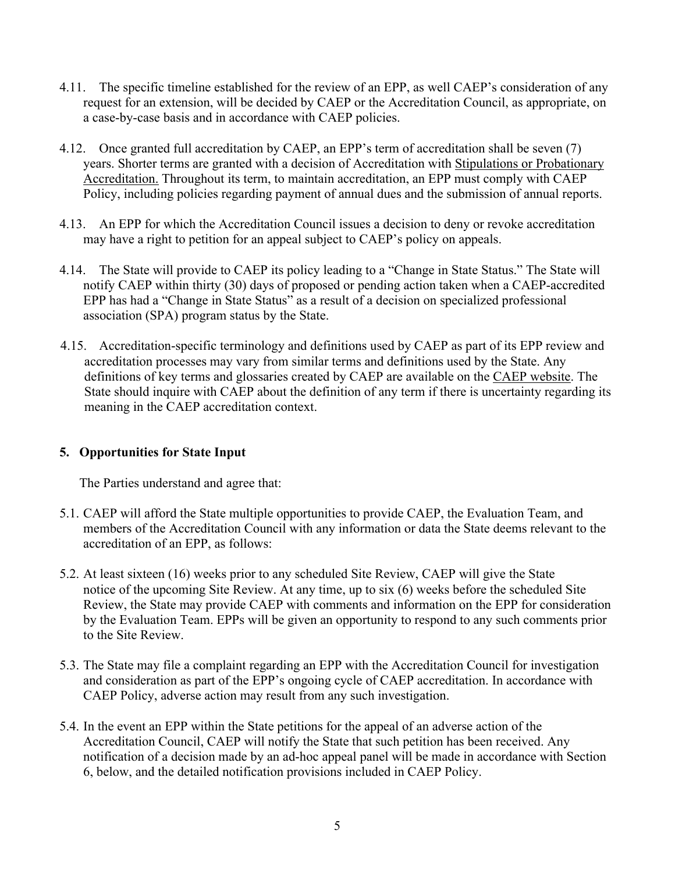- 4.11. The specific timeline established for the review of an EPP, as well CAEP's consideration of any request for an extension, will be decided by CAEP or the Accreditation Council, as appropriate, on a case-by-case basis and in accordance with CAEP policies.
- 4.12. Once granted full accreditation by CAEP, an EPP's term of accreditation shall be seven (7) years. Shorter terms are granted with a decision of Accreditation with [Stipulations or Probationary](http://caepnet.org/glossary)  [Accreditation.](http://caepnet.org/glossary) Throughout its term, to maintain accreditation, an EPP must comply with CAEP Policy, including policies regarding payment of annual dues and the submission of annual reports.
- 4.13. An EPP for which the Accreditation Council issues a decision to deny or revoke accreditation may have a right to petition for an appeal subject to CAEP's policy on appeals.
- 4.14. The State will provide to CAEP its policy leading to a "Change in State Status." The State will notify CAEP within thirty (30) days of proposed or pending action taken when a CAEP-accredited EPP has had a "Change in State Status" as a result of a decision on specialized professional association (SPA) program status by the State.
- 4.15. Accreditation-specific terminology and definitions used by CAEP as part of its EPP review and accreditation processes may vary from similar terms and definitions used by the State. Any definitions of key terms and glossaries created by CAEP are available on the CAEP [website.](http://caepnet.org/glossary) The State should inquire with CAEP about the definition of any term if there is uncertainty regarding its meaning in the CAEP accreditation context.

## **5. Opportunities for State Input**

- 5.1. CAEP will afford the State multiple opportunities to provide CAEP, the Evaluation Team, and members of the Accreditation Council with any information or data the State deems relevant to the accreditation of an EPP, as follows:
- 5.2. At least sixteen (16) weeks prior to any scheduled Site Review, CAEP will give the State notice of the upcoming Site Review. At any time, up to six (6) weeks before the scheduled Site Review, the State may provide CAEP with comments and information on the EPP for consideration by the Evaluation Team. EPPs will be given an opportunity to respond to any such comments prior to the Site Review.
- 5.3. The State may file a complaint regarding an EPP with the Accreditation Council for investigation and consideration as part of the EPP's ongoing cycle of CAEP accreditation. In accordance with CAEP Policy, adverse action may result from any such investigation.
- 5.4. In the event an EPP within the State petitions for the appeal of an adverse action of the Accreditation Council, CAEP will notify the State that such petition has been received. Any notification of a decision made by an ad-hoc appeal panel will be made in accordance with Section 6, below, and the detailed notification provisions included in CAEP Policy.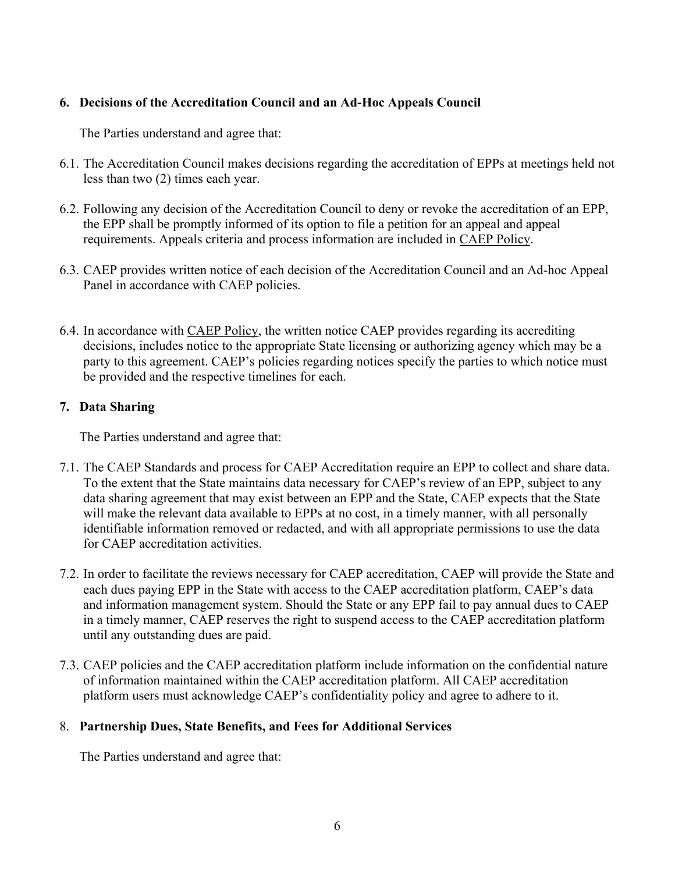# **6. Decisions of the Accreditation Council and an Ad-Hoc Appeals Council**

The Parties understand and agree that:

- 6.1. The Accreditation Council makes decisions regarding the accreditation of EPPs at meetings held not less than two (2) times each year.
- 6.2. Following any decision of the Accreditation Council to deny or revoke the accreditation of an EPP, the EPP shall be promptly informed of its option to file a petition for an appeal and appeal requirements. Appeals criteria and process information are included in CAEP [Policy.](http://caepnet.org/%7E/media/Files/caep/accreditation-resources/accreditation-policy-final.pdf?la=en)
- 6.3. CAEP provides written notice of each decision of the Accreditation Council and an Ad-hoc Appeal Panel in accordance with CAEP policies.
- 6.4. In accordance with [CAEP Policy,](http://caepnet.org/%7E/media/Files/caep/accreditation-resources/accreditation-policy-final.pdf?la=en) the written notice CAEP provides regarding its accrediting decisions, includes notice to the appropriate State licensing or authorizing agency which may be a party to this agreement. CAEP's policies regarding notices specify the parties to which notice must be provided and the respective timelines for each.

# **7. Data Sharing**

The Parties understand and agree that:

- 7.1. The CAEP Standards and process for CAEP Accreditation require an EPP to collect and share data. To the extent that the State maintains data necessary for CAEP's review of an EPP, subject to any data sharing agreement that may exist between an EPP and the State, CAEP expects that the State will make the relevant data available to EPPs at no cost, in a timely manner, with all personally identifiable information removed or redacted, and with all appropriate permissions to use the data for CAEP accreditation activities.
- 7.2. In order to facilitate the reviews necessary for CAEP accreditation, CAEP will provide the State and each dues paying EPP in the State with access to the CAEP accreditation platform, CAEP's data and information management system. Should the State or any EPP fail to pay annual dues to CAEP in a timely manner, CAEP reserves the right to suspend access to the CAEP accreditation platform until any outstanding dues are paid.
- 7.3. CAEP policies and the CAEP accreditation platform include information on the confidential nature of information maintained within the CAEP accreditation platform. All CAEP accreditation platform users must acknowledge CAEP's confidentiality policy and agree to adhere to it.

## 8. **Partnership Dues, State Benefits, and Fees for Additional Services**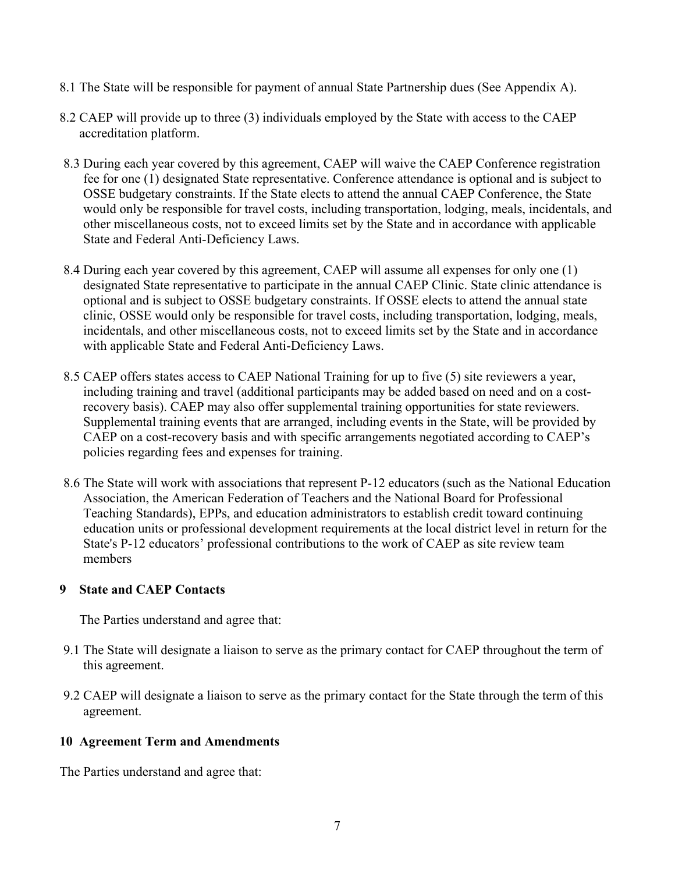- 8.1 The State will be responsible for payment of annual State Partnership dues (See Appendix A).
- 8.2 CAEP will provide up to three (3) individuals employed by the State with access to the CAEP accreditation platform.
- 8.3 During each year covered by this agreement, CAEP will waive the CAEP Conference registration fee for one (1) designated State representative. Conference attendance is optional and is subject to OSSE budgetary constraints. If the State elects to attend the annual CAEP Conference, the State would only be responsible for travel costs, including transportation, lodging, meals, incidentals, and other miscellaneous costs, not to exceed limits set by the State and in accordance with applicable State and Federal Anti-Deficiency Laws.
- 8.4 During each year covered by this agreement, CAEP will assume all expenses for only one (1) designated State representative to participate in the annual CAEP Clinic. State clinic attendance is optional and is subject to OSSE budgetary constraints. If OSSE elects to attend the annual state clinic, OSSE would only be responsible for travel costs, including transportation, lodging, meals, incidentals, and other miscellaneous costs, not to exceed limits set by the State and in accordance with applicable State and Federal Anti-Deficiency Laws.
- 8.5 CAEP offers states access to CAEP National Training for up to five (5) site reviewers a year, including training and travel (additional participants may be added based on need and on a costrecovery basis). CAEP may also offer supplemental training opportunities for state reviewers. Supplemental training events that are arranged, including events in the State, will be provided by CAEP on a cost-recovery basis and with specific arrangements negotiated according to CAEP's policies regarding fees and expenses for training.
- 8.6 The State will work with associations that represent P-12 educators (such as the National Education Association, the American Federation of Teachers and the National Board for Professional Teaching Standards), EPPs, and education administrators to establish credit toward continuing education units or professional development requirements at the local district level in return for the State's P-12 educators' professional contributions to the work of CAEP as site review team members

## **9 State and CAEP Contacts**

The Parties understand and agree that:

- 9.1 The State will designate a liaison to serve as the primary contact for CAEP throughout the term of this agreement.
- 9.2 CAEP will designate a liaison to serve as the primary contact for the State through the term of this agreement.

#### **10 Agreement Term and Amendments**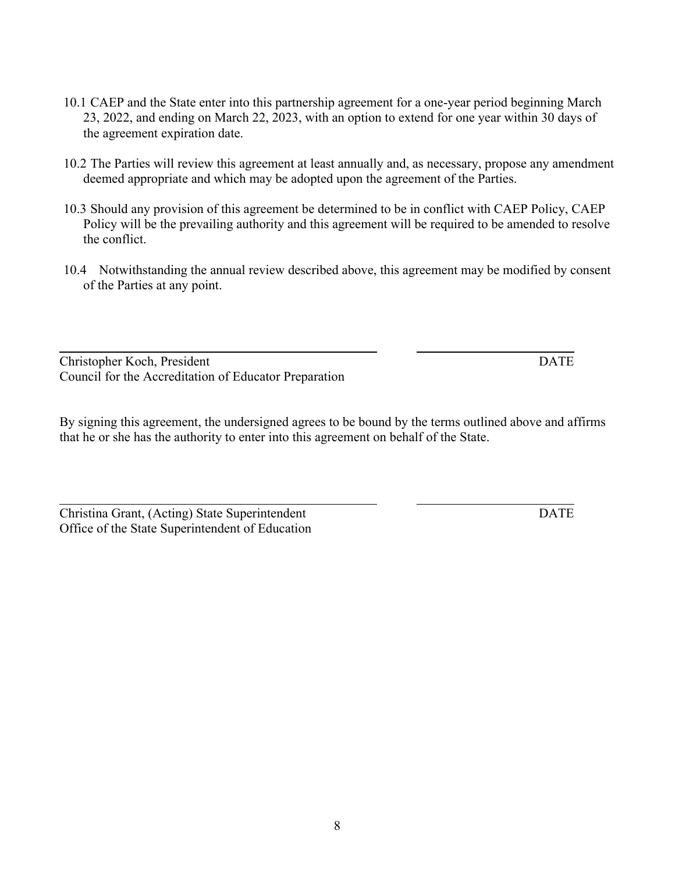- 10.1 CAEP and the State enter into this partnership agreement for a one-year period beginning March 23, 2022, and ending on March 22, 2023, with an option to extend for one year within 30 days of the agreement expiration date.
- 10.2 The Parties will review this agreement at least annually and, as necessary, propose any amendment deemed appropriate and which may be adopted upon the agreement of the Parties.
- 10.3 Should any provision of this agreement be determined to be in conflict with CAEP Policy, CAEP Policy will be the prevailing authority and this agreement will be required to be amended to resolve the conflict.
- 10.4 Notwithstanding the annual review described above, this agreement may be modified by consent of the Parties at any point.

Christopher Koch, President DATE Council for the Accreditation of Educator Preparation

By signing this agreement, the undersigned agrees to be bound by the terms outlined above and affirms that he or she has the authority to enter into this agreement on behalf of the State.

Christina Grant, (Acting) State Superintendent DATE Office of the State Superintendent of Education